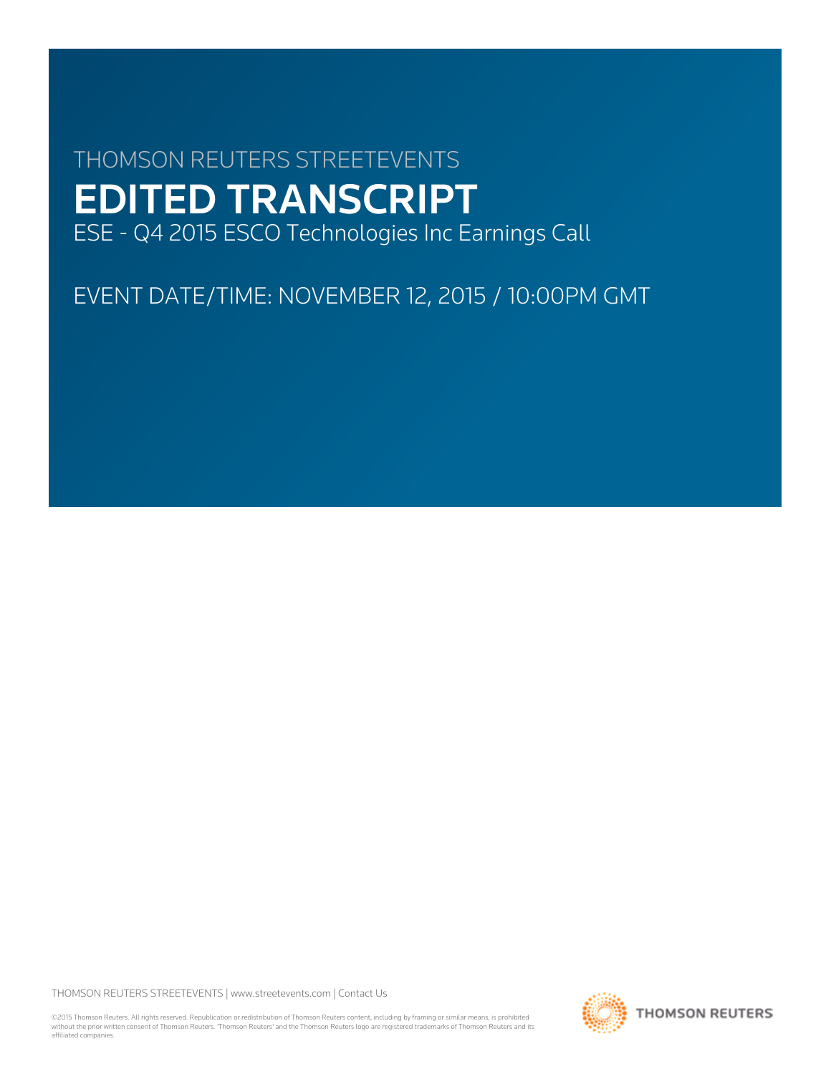# THOMSON REUTERS STREETEVENTS EDITED TRANSCRIPT ESE - Q4 2015 ESCO Technologies Inc Earnings Call

EVENT DATE/TIME: NOVEMBER 12, 2015 / 10:00PM GMT

THOMSON REUTERS STREETEVENTS | [www.streetevents.com](http://www.streetevents.com) | [Contact Us](http://www010.streetevents.com/contact.asp)

©2015 Thomson Reuters. All rights reserved. Republication or redistribution of Thomson Reuters content, including by framing or similar means, is prohibited without the prior written consent of Thomson Reuters. 'Thomson Reuters' and the Thomson Reuters logo are registered trademarks of Thomson Reuters and its affiliated companies.

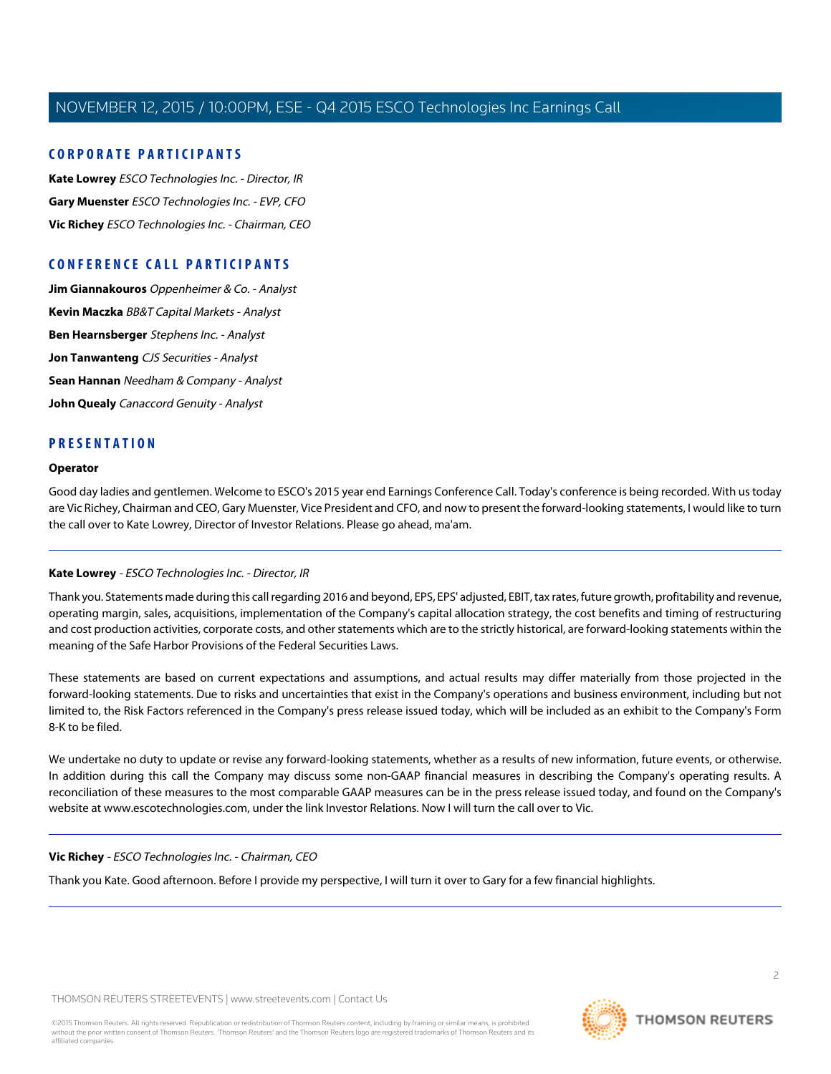## **CORPORATE PARTICIPANTS**

**[Kate Lowrey](#page-1-0)** ESCO Technologies Inc. - Director, IR **[Gary Muenster](#page-2-0)** ESCO Technologies Inc. - EVP, CFO **[Vic Richey](#page-1-1)** ESCO Technologies Inc. - Chairman, CEO

# **CONFERENCE CALL PARTICIPANTS**

**[Jim Giannakouros](#page-4-0)** Oppenheimer & Co. - Analyst **[Kevin Maczka](#page-5-0)** BB&T Capital Markets - Analyst **[Ben Hearnsberger](#page-8-0)** Stephens Inc. - Analyst **[Jon Tanwanteng](#page-7-0)** CJS Securities - Analyst **[Sean Hannan](#page-9-0)** Needham & Company - Analyst **[John Quealy](#page-11-0)** Canaccord Genuity - Analyst

## **PRESENTATION**

#### **Operator**

<span id="page-1-0"></span>Good day ladies and gentlemen. Welcome to ESCO's 2015 year end Earnings Conference Call. Today's conference is being recorded. With us today are Vic Richey, Chairman and CEO, Gary Muenster, Vice President and CFO, and now to present the forward-looking statements, I would like to turn the call over to Kate Lowrey, Director of Investor Relations. Please go ahead, ma'am.

#### **Kate Lowrey** - ESCO Technologies Inc. - Director, IR

Thank you. Statements made during this call regarding 2016 and beyond, EPS, EPS' adjusted, EBIT, tax rates, future growth, profitability and revenue, operating margin, sales, acquisitions, implementation of the Company's capital allocation strategy, the cost benefits and timing of restructuring and cost production activities, corporate costs, and other statements which are to the strictly historical, are forward-looking statements within the meaning of the Safe Harbor Provisions of the Federal Securities Laws.

These statements are based on current expectations and assumptions, and actual results may differ materially from those projected in the forward-looking statements. Due to risks and uncertainties that exist in the Company's operations and business environment, including but not limited to, the Risk Factors referenced in the Company's press release issued today, which will be included as an exhibit to the Company's Form 8-K to be filed.

<span id="page-1-1"></span>We undertake no duty to update or revise any forward-looking statements, whether as a results of new information, future events, or otherwise. In addition during this call the Company may discuss some non-GAAP financial measures in describing the Company's operating results. A reconciliation of these measures to the most comparable GAAP measures can be in the press release issued today, and found on the Company's website at www.escotechnologies.com, under the link Investor Relations. Now I will turn the call over to Vic.

#### **Vic Richey** - ESCO Technologies Inc. - Chairman, CEO

Thank you Kate. Good afternoon. Before I provide my perspective, I will turn it over to Gary for a few financial highlights.

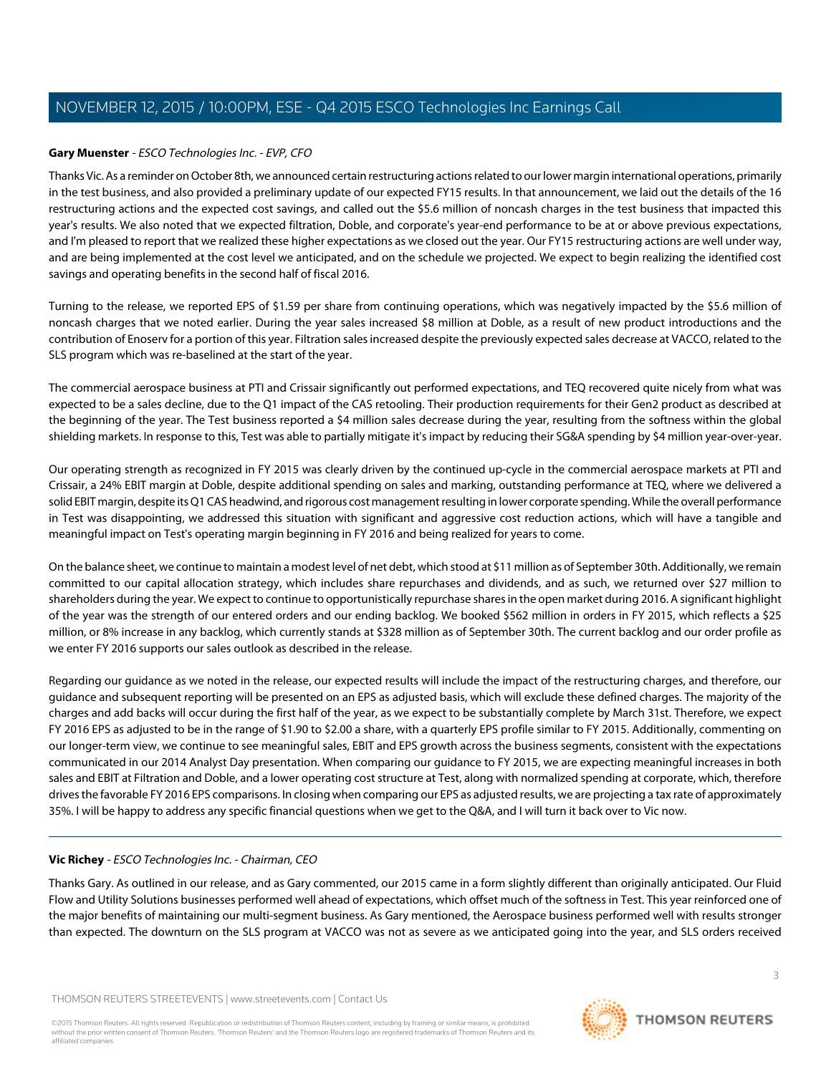## <span id="page-2-0"></span>**Gary Muenster** - ESCO Technologies Inc. - EVP, CFO

Thanks Vic. As a reminder on October 8th, we announced certain restructuring actions related to our lower margin international operations, primarily in the test business, and also provided a preliminary update of our expected FY15 results. In that announcement, we laid out the details of the 16 restructuring actions and the expected cost savings, and called out the \$5.6 million of noncash charges in the test business that impacted this year's results. We also noted that we expected filtration, Doble, and corporate's year-end performance to be at or above previous expectations, and I'm pleased to report that we realized these higher expectations as we closed out the year. Our FY15 restructuring actions are well under way, and are being implemented at the cost level we anticipated, and on the schedule we projected. We expect to begin realizing the identified cost savings and operating benefits in the second half of fiscal 2016.

Turning to the release, we reported EPS of \$1.59 per share from continuing operations, which was negatively impacted by the \$5.6 million of noncash charges that we noted earlier. During the year sales increased \$8 million at Doble, as a result of new product introductions and the contribution of Enoserv for a portion of this year. Filtration sales increased despite the previously expected sales decrease at VACCO, related to the SLS program which was re-baselined at the start of the year.

The commercial aerospace business at PTI and Crissair significantly out performed expectations, and TEQ recovered quite nicely from what was expected to be a sales decline, due to the Q1 impact of the CAS retooling. Their production requirements for their Gen2 product as described at the beginning of the year. The Test business reported a \$4 million sales decrease during the year, resulting from the softness within the global shielding markets. In response to this, Test was able to partially mitigate it's impact by reducing their SG&A spending by \$4 million year-over-year.

Our operating strength as recognized in FY 2015 was clearly driven by the continued up-cycle in the commercial aerospace markets at PTI and Crissair, a 24% EBIT margin at Doble, despite additional spending on sales and marking, outstanding performance at TEQ, where we delivered a solid EBIT margin, despite its Q1 CAS headwind, and rigorous cost management resulting in lower corporate spending. While the overall performance in Test was disappointing, we addressed this situation with significant and aggressive cost reduction actions, which will have a tangible and meaningful impact on Test's operating margin beginning in FY 2016 and being realized for years to come.

On the balance sheet, we continue to maintain a modest level of net debt, which stood at \$11 million as of September 30th. Additionally, we remain committed to our capital allocation strategy, which includes share repurchases and dividends, and as such, we returned over \$27 million to shareholders during the year. We expect to continue to opportunistically repurchase shares in the open market during 2016. A significant highlight of the year was the strength of our entered orders and our ending backlog. We booked \$562 million in orders in FY 2015, which reflects a \$25 million, or 8% increase in any backlog, which currently stands at \$328 million as of September 30th. The current backlog and our order profile as we enter FY 2016 supports our sales outlook as described in the release.

Regarding our guidance as we noted in the release, our expected results will include the impact of the restructuring charges, and therefore, our guidance and subsequent reporting will be presented on an EPS as adjusted basis, which will exclude these defined charges. The majority of the charges and add backs will occur during the first half of the year, as we expect to be substantially complete by March 31st. Therefore, we expect FY 2016 EPS as adjusted to be in the range of \$1.90 to \$2.00 a share, with a quarterly EPS profile similar to FY 2015. Additionally, commenting on our longer-term view, we continue to see meaningful sales, EBIT and EPS growth across the business segments, consistent with the expectations communicated in our 2014 Analyst Day presentation. When comparing our guidance to FY 2015, we are expecting meaningful increases in both sales and EBIT at Filtration and Doble, and a lower operating cost structure at Test, along with normalized spending at corporate, which, therefore drives the favorable FY 2016 EPS comparisons. In closing when comparing our EPS as adjusted results, we are projecting a tax rate of approximately 35%. I will be happy to address any specific financial questions when we get to the Q&A, and I will turn it back over to Vic now.

#### **Vic Richey** - ESCO Technologies Inc. - Chairman, CEO

Thanks Gary. As outlined in our release, and as Gary commented, our 2015 came in a form slightly different than originally anticipated. Our Fluid Flow and Utility Solutions businesses performed well ahead of expectations, which offset much of the softness in Test. This year reinforced one of the major benefits of maintaining our multi-segment business. As Gary mentioned, the Aerospace business performed well with results stronger than expected. The downturn on the SLS program at VACCO was not as severe as we anticipated going into the year, and SLS orders received

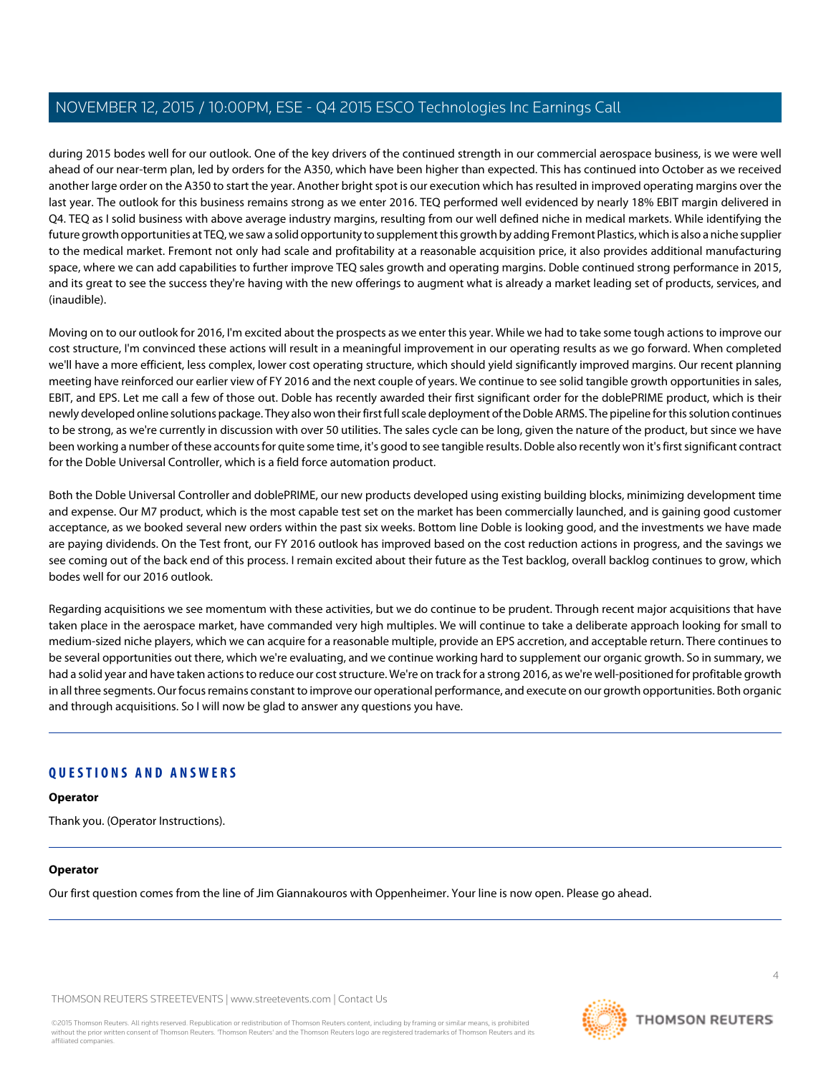during 2015 bodes well for our outlook. One of the key drivers of the continued strength in our commercial aerospace business, is we were well ahead of our near-term plan, led by orders for the A350, which have been higher than expected. This has continued into October as we received another large order on the A350 to start the year. Another bright spot is our execution which has resulted in improved operating margins over the last year. The outlook for this business remains strong as we enter 2016. TEQ performed well evidenced by nearly 18% EBIT margin delivered in Q4. TEQ as I solid business with above average industry margins, resulting from our well defined niche in medical markets. While identifying the future growth opportunities at TEQ, we saw a solid opportunity to supplement this growth by adding Fremont Plastics, which is also a niche supplier to the medical market. Fremont not only had scale and profitability at a reasonable acquisition price, it also provides additional manufacturing space, where we can add capabilities to further improve TEQ sales growth and operating margins. Doble continued strong performance in 2015, and its great to see the success they're having with the new offerings to augment what is already a market leading set of products, services, and (inaudible).

Moving on to our outlook for 2016, I'm excited about the prospects as we enter this year. While we had to take some tough actions to improve our cost structure, I'm convinced these actions will result in a meaningful improvement in our operating results as we go forward. When completed we'll have a more efficient, less complex, lower cost operating structure, which should yield significantly improved margins. Our recent planning meeting have reinforced our earlier view of FY 2016 and the next couple of years. We continue to see solid tangible growth opportunities in sales, EBIT, and EPS. Let me call a few of those out. Doble has recently awarded their first significant order for the doblePRIME product, which is their newly developed online solutions package. They also won their first full scale deployment of the Doble ARMS. The pipeline for this solution continues to be strong, as we're currently in discussion with over 50 utilities. The sales cycle can be long, given the nature of the product, but since we have been working a number of these accounts for quite some time, it's good to see tangible results. Doble also recently won it's first significant contract for the Doble Universal Controller, which is a field force automation product.

Both the Doble Universal Controller and doblePRIME, our new products developed using existing building blocks, minimizing development time and expense. Our M7 product, which is the most capable test set on the market has been commercially launched, and is gaining good customer acceptance, as we booked several new orders within the past six weeks. Bottom line Doble is looking good, and the investments we have made are paying dividends. On the Test front, our FY 2016 outlook has improved based on the cost reduction actions in progress, and the savings we see coming out of the back end of this process. I remain excited about their future as the Test backlog, overall backlog continues to grow, which bodes well for our 2016 outlook.

Regarding acquisitions we see momentum with these activities, but we do continue to be prudent. Through recent major acquisitions that have taken place in the aerospace market, have commanded very high multiples. We will continue to take a deliberate approach looking for small to medium-sized niche players, which we can acquire for a reasonable multiple, provide an EPS accretion, and acceptable return. There continues to be several opportunities out there, which we're evaluating, and we continue working hard to supplement our organic growth. So in summary, we had a solid year and have taken actions to reduce our cost structure. We're on track for a strong 2016, as we're well-positioned for profitable growth in all three segments. Our focus remains constant to improve our operational performance, and execute on our growth opportunities. Both organic and through acquisitions. So I will now be glad to answer any questions you have.

# **QUESTIONS AND ANSWERS**

**Operator**

Thank you. (Operator Instructions).

#### **Operator**

Our first question comes from the line of Jim Giannakouros with Oppenheimer. Your line is now open. Please go ahead.

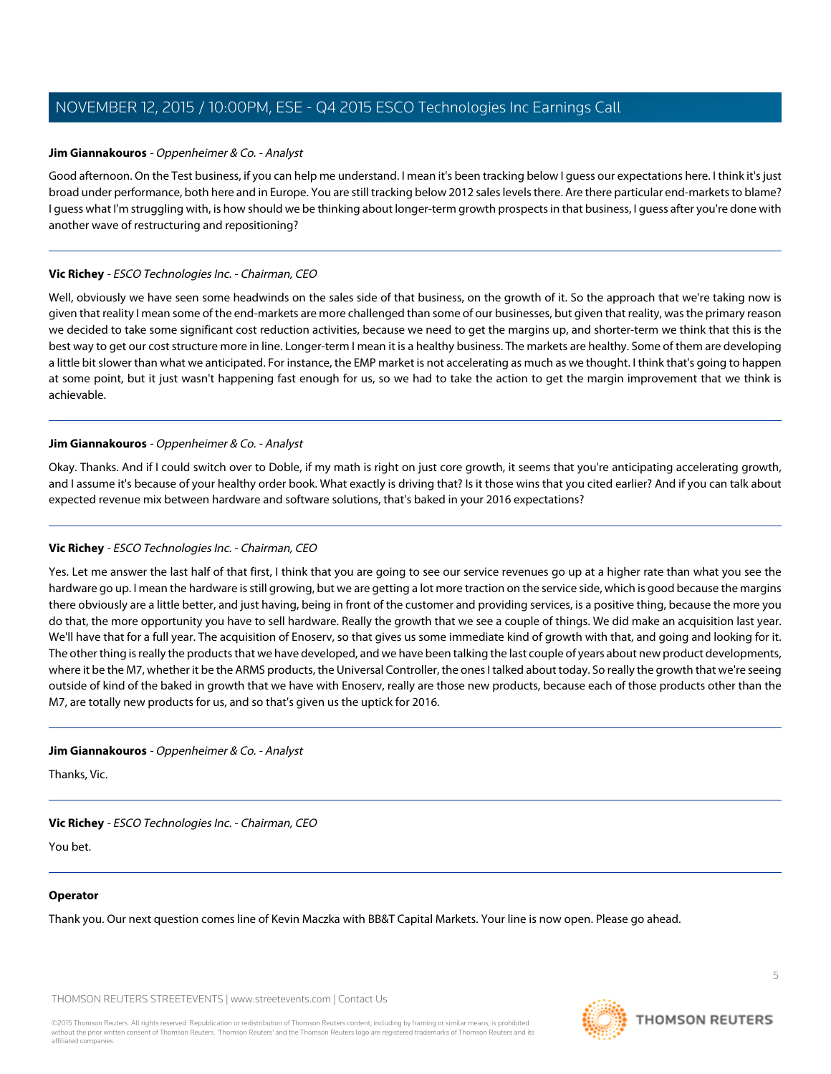#### <span id="page-4-0"></span>**Jim Giannakouros** - Oppenheimer & Co. - Analyst

Good afternoon. On the Test business, if you can help me understand. I mean it's been tracking below I guess our expectations here. I think it's just broad under performance, both here and in Europe. You are still tracking below 2012 sales levels there. Are there particular end-markets to blame? I guess what I'm struggling with, is how should we be thinking about longer-term growth prospects in that business, I guess after you're done with another wave of restructuring and repositioning?

#### **Vic Richey** - ESCO Technologies Inc. - Chairman, CEO

Well, obviously we have seen some headwinds on the sales side of that business, on the growth of it. So the approach that we're taking now is given that reality I mean some of the end-markets are more challenged than some of our businesses, but given that reality, was the primary reason we decided to take some significant cost reduction activities, because we need to get the margins up, and shorter-term we think that this is the best way to get our cost structure more in line. Longer-term I mean it is a healthy business. The markets are healthy. Some of them are developing a little bit slower than what we anticipated. For instance, the EMP market is not accelerating as much as we thought. I think that's going to happen at some point, but it just wasn't happening fast enough for us, so we had to take the action to get the margin improvement that we think is achievable.

#### **Jim Giannakouros** - Oppenheimer & Co. - Analyst

Okay. Thanks. And if I could switch over to Doble, if my math is right on just core growth, it seems that you're anticipating accelerating growth, and I assume it's because of your healthy order book. What exactly is driving that? Is it those wins that you cited earlier? And if you can talk about expected revenue mix between hardware and software solutions, that's baked in your 2016 expectations?

#### **Vic Richey** - ESCO Technologies Inc. - Chairman, CEO

Yes. Let me answer the last half of that first, I think that you are going to see our service revenues go up at a higher rate than what you see the hardware go up. I mean the hardware is still growing, but we are getting a lot more traction on the service side, which is good because the margins there obviously are a little better, and just having, being in front of the customer and providing services, is a positive thing, because the more you do that, the more opportunity you have to sell hardware. Really the growth that we see a couple of things. We did make an acquisition last year. We'll have that for a full year. The acquisition of Enoserv, so that gives us some immediate kind of growth with that, and going and looking for it. The other thing is really the products that we have developed, and we have been talking the last couple of years about new product developments, where it be the M7, whether it be the ARMS products, the Universal Controller, the ones I talked about today. So really the growth that we're seeing outside of kind of the baked in growth that we have with Enoserv, really are those new products, because each of those products other than the M7, are totally new products for us, and so that's given us the uptick for 2016.

#### **Jim Giannakouros** - Oppenheimer & Co. - Analyst

Thanks, Vic.

#### **Vic Richey** - ESCO Technologies Inc. - Chairman, CEO

You bet.

#### **Operator**

Thank you. Our next question comes line of Kevin Maczka with BB&T Capital Markets. Your line is now open. Please go ahead.

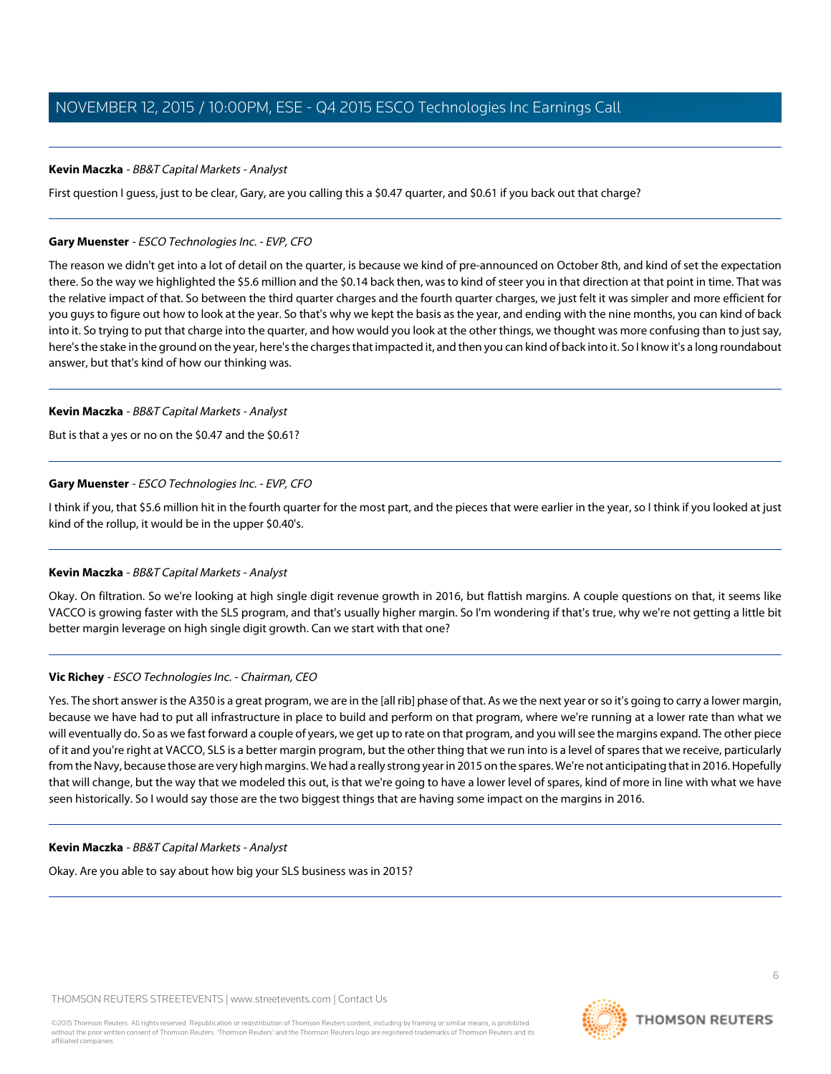#### <span id="page-5-0"></span>**Kevin Maczka** - BB&T Capital Markets - Analyst

First question I guess, just to be clear, Gary, are you calling this a \$0.47 quarter, and \$0.61 if you back out that charge?

#### **Gary Muenster** - ESCO Technologies Inc. - EVP, CFO

The reason we didn't get into a lot of detail on the quarter, is because we kind of pre-announced on October 8th, and kind of set the expectation there. So the way we highlighted the \$5.6 million and the \$0.14 back then, was to kind of steer you in that direction at that point in time. That was the relative impact of that. So between the third quarter charges and the fourth quarter charges, we just felt it was simpler and more efficient for you guys to figure out how to look at the year. So that's why we kept the basis as the year, and ending with the nine months, you can kind of back into it. So trying to put that charge into the quarter, and how would you look at the other things, we thought was more confusing than to just say, here's the stake in the ground on the year, here's the charges that impacted it, and then you can kind of back into it. So I know it's a long roundabout answer, but that's kind of how our thinking was.

#### **Kevin Maczka** - BB&T Capital Markets - Analyst

But is that a yes or no on the \$0.47 and the \$0.61?

#### **Gary Muenster** - ESCO Technologies Inc. - EVP, CFO

I think if you, that \$5.6 million hit in the fourth quarter for the most part, and the pieces that were earlier in the year, so I think if you looked at just kind of the rollup, it would be in the upper \$0.40's.

#### **Kevin Maczka** - BB&T Capital Markets - Analyst

Okay. On filtration. So we're looking at high single digit revenue growth in 2016, but flattish margins. A couple questions on that, it seems like VACCO is growing faster with the SLS program, and that's usually higher margin. So I'm wondering if that's true, why we're not getting a little bit better margin leverage on high single digit growth. Can we start with that one?

#### **Vic Richey** - ESCO Technologies Inc. - Chairman, CEO

Yes. The short answer is the A350 is a great program, we are in the [all rib] phase of that. As we the next year or so it's going to carry a lower margin, because we have had to put all infrastructure in place to build and perform on that program, where we're running at a lower rate than what we will eventually do. So as we fast forward a couple of years, we get up to rate on that program, and you will see the margins expand. The other piece of it and you're right at VACCO, SLS is a better margin program, but the other thing that we run into is a level of spares that we receive, particularly from the Navy, because those are very high margins. We had a really strong year in 2015 on the spares. We're not anticipating that in 2016. Hopefully that will change, but the way that we modeled this out, is that we're going to have a lower level of spares, kind of more in line with what we have seen historically. So I would say those are the two biggest things that are having some impact on the margins in 2016.

#### **Kevin Maczka** - BB&T Capital Markets - Analyst

Okay. Are you able to say about how big your SLS business was in 2015?

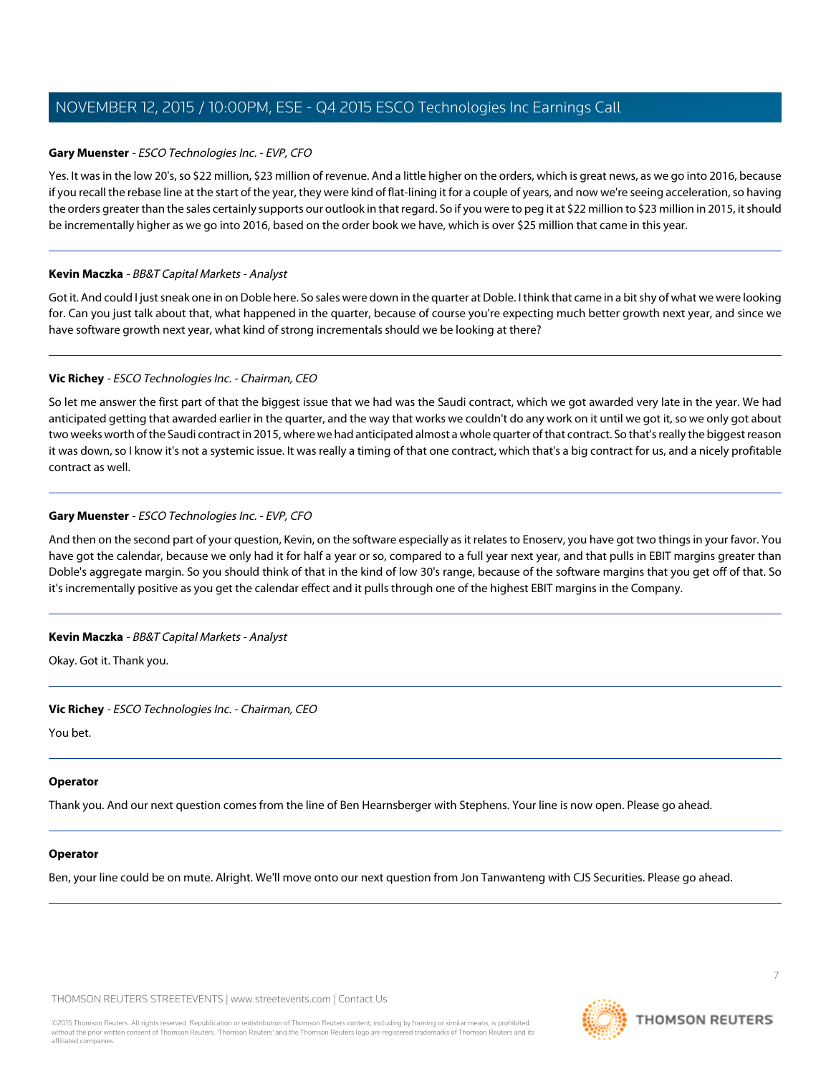#### **Gary Muenster** - ESCO Technologies Inc. - EVP, CFO

Yes. It was in the low 20's, so \$22 million, \$23 million of revenue. And a little higher on the orders, which is great news, as we go into 2016, because if you recall the rebase line at the start of the year, they were kind of flat-lining it for a couple of years, and now we're seeing acceleration, so having the orders greater than the sales certainly supports our outlook in that regard. So if you were to peg it at \$22 million to \$23 million in 2015, it should be incrementally higher as we go into 2016, based on the order book we have, which is over \$25 million that came in this year.

#### **Kevin Maczka** - BB&T Capital Markets - Analyst

Got it. And could I just sneak one in on Doble here. So sales were down in the quarter at Doble. I think that came in a bit shy of what we were looking for. Can you just talk about that, what happened in the quarter, because of course you're expecting much better growth next year, and since we have software growth next year, what kind of strong incrementals should we be looking at there?

#### **Vic Richey** - ESCO Technologies Inc. - Chairman, CEO

So let me answer the first part of that the biggest issue that we had was the Saudi contract, which we got awarded very late in the year. We had anticipated getting that awarded earlier in the quarter, and the way that works we couldn't do any work on it until we got it, so we only got about two weeks worth of the Saudi contract in 2015, where we had anticipated almost a whole quarter of that contract. So that's really the biggest reason it was down, so I know it's not a systemic issue. It was really a timing of that one contract, which that's a big contract for us, and a nicely profitable contract as well.

#### **Gary Muenster** - ESCO Technologies Inc. - EVP, CFO

And then on the second part of your question, Kevin, on the software especially as it relates to Enoserv, you have got two things in your favor. You have got the calendar, because we only had it for half a year or so, compared to a full year next year, and that pulls in EBIT margins greater than Doble's aggregate margin. So you should think of that in the kind of low 30's range, because of the software margins that you get off of that. So it's incrementally positive as you get the calendar effect and it pulls through one of the highest EBIT margins in the Company.

#### **Kevin Maczka** - BB&T Capital Markets - Analyst

Okay. Got it. Thank you.

#### **Vic Richey** - ESCO Technologies Inc. - Chairman, CEO

You bet.

#### **Operator**

Thank you. And our next question comes from the line of Ben Hearnsberger with Stephens. Your line is now open. Please go ahead.

#### **Operator**

Ben, your line could be on mute. Alright. We'll move onto our next question from Jon Tanwanteng with CJS Securities. Please go ahead.

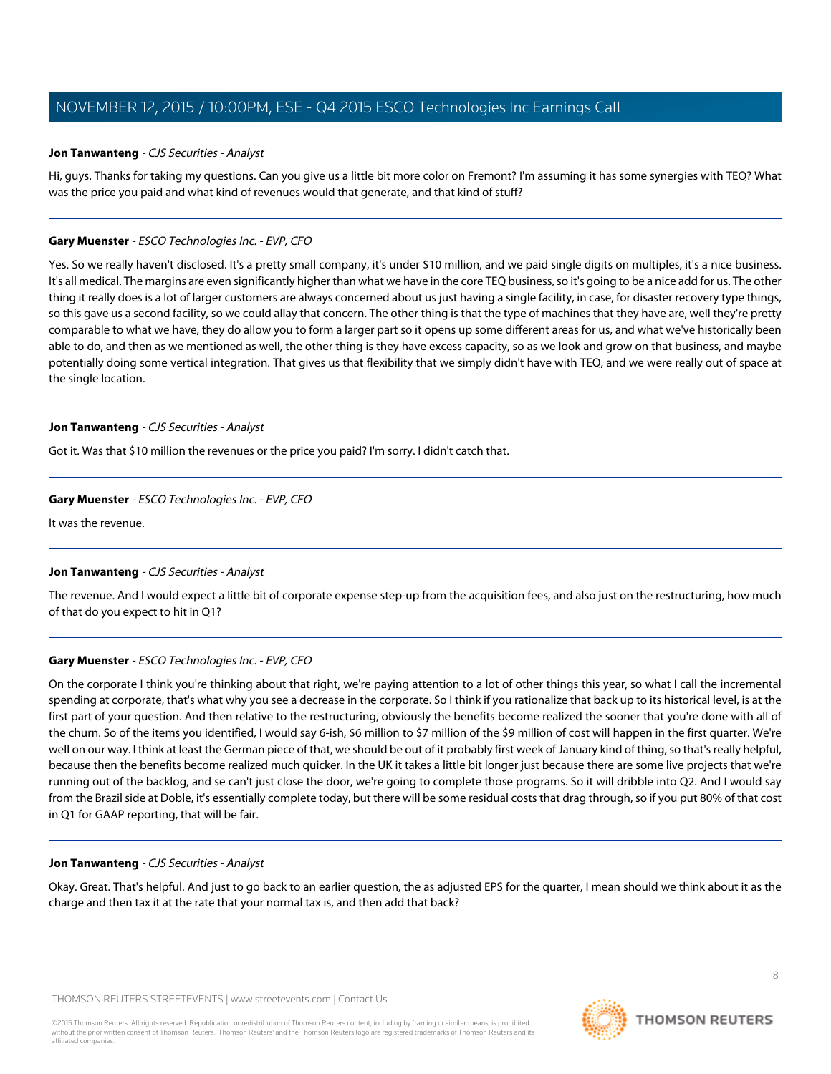#### <span id="page-7-0"></span>**Jon Tanwanteng** - CJS Securities - Analyst

Hi, guys. Thanks for taking my questions. Can you give us a little bit more color on Fremont? I'm assuming it has some synergies with TEQ? What was the price you paid and what kind of revenues would that generate, and that kind of stuff?

#### **Gary Muenster** - ESCO Technologies Inc. - EVP, CFO

Yes. So we really haven't disclosed. It's a pretty small company, it's under \$10 million, and we paid single digits on multiples, it's a nice business. It's all medical. The margins are even significantly higher than what we have in the core TEQ business, so it's going to be a nice add for us. The other thing it really does is a lot of larger customers are always concerned about us just having a single facility, in case, for disaster recovery type things, so this gave us a second facility, so we could allay that concern. The other thing is that the type of machines that they have are, well they're pretty comparable to what we have, they do allow you to form a larger part so it opens up some different areas for us, and what we've historically been able to do, and then as we mentioned as well, the other thing is they have excess capacity, so as we look and grow on that business, and maybe potentially doing some vertical integration. That gives us that flexibility that we simply didn't have with TEQ, and we were really out of space at the single location.

#### **Jon Tanwanteng** - CJS Securities - Analyst

Got it. Was that \$10 million the revenues or the price you paid? I'm sorry. I didn't catch that.

#### **Gary Muenster** - ESCO Technologies Inc. - EVP, CFO

It was the revenue.

#### **Jon Tanwanteng** - CJS Securities - Analyst

The revenue. And I would expect a little bit of corporate expense step-up from the acquisition fees, and also just on the restructuring, how much of that do you expect to hit in Q1?

#### **Gary Muenster** - ESCO Technologies Inc. - EVP, CFO

On the corporate I think you're thinking about that right, we're paying attention to a lot of other things this year, so what I call the incremental spending at corporate, that's what why you see a decrease in the corporate. So I think if you rationalize that back up to its historical level, is at the first part of your question. And then relative to the restructuring, obviously the benefits become realized the sooner that you're done with all of the churn. So of the items you identified, I would say 6-ish, \$6 million to \$7 million of the \$9 million of cost will happen in the first quarter. We're well on our way. I think at least the German piece of that, we should be out of it probably first week of January kind of thing, so that's really helpful, because then the benefits become realized much quicker. In the UK it takes a little bit longer just because there are some live projects that we're running out of the backlog, and se can't just close the door, we're going to complete those programs. So it will dribble into Q2. And I would say from the Brazil side at Doble, it's essentially complete today, but there will be some residual costs that drag through, so if you put 80% of that cost in Q1 for GAAP reporting, that will be fair.

#### **Jon Tanwanteng** - CJS Securities - Analyst

Okay. Great. That's helpful. And just to go back to an earlier question, the as adjusted EPS for the quarter, I mean should we think about it as the charge and then tax it at the rate that your normal tax is, and then add that back?

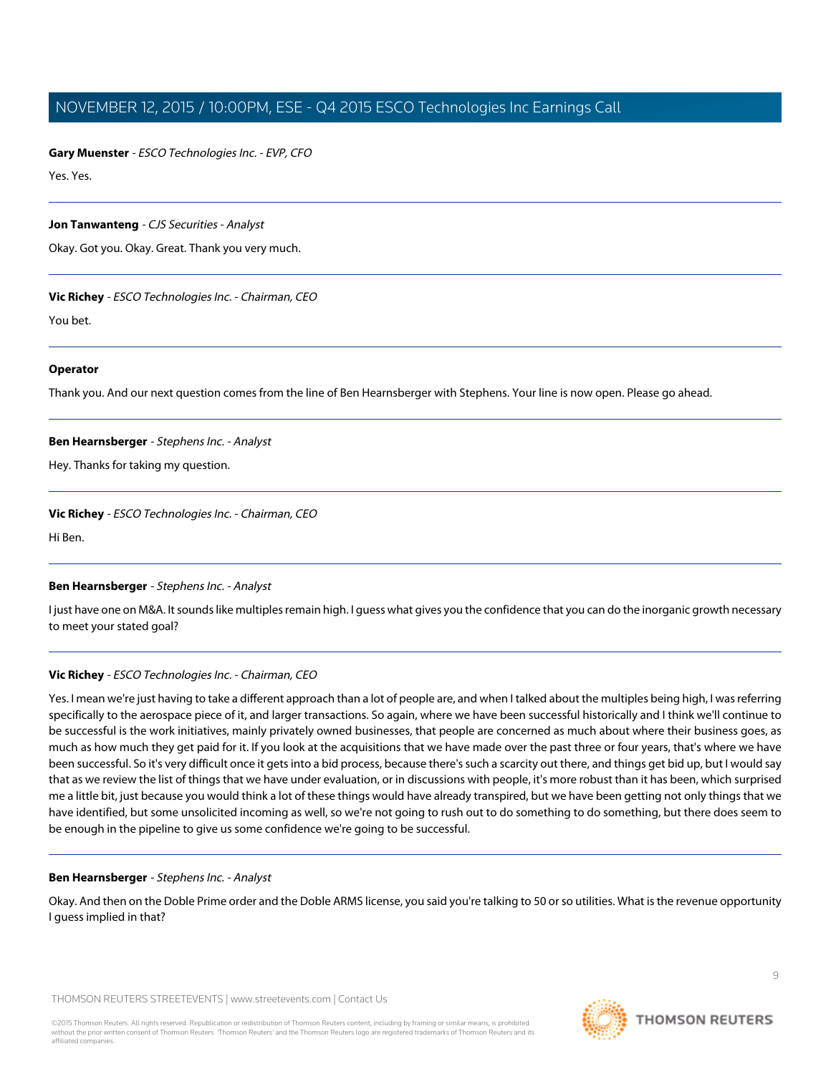**Gary Muenster** - ESCO Technologies Inc. - EVP, CFO

Yes. Yes.

#### **Jon Tanwanteng** - CJS Securities - Analyst

Okay. Got you. Okay. Great. Thank you very much.

#### **Vic Richey** - ESCO Technologies Inc. - Chairman, CEO

You bet.

#### **Operator**

<span id="page-8-0"></span>Thank you. And our next question comes from the line of Ben Hearnsberger with Stephens. Your line is now open. Please go ahead.

#### **Ben Hearnsberger** - Stephens Inc. - Analyst

Hey. Thanks for taking my question.

#### **Vic Richey** - ESCO Technologies Inc. - Chairman, CEO

Hi Ben.

#### **Ben Hearnsberger** - Stephens Inc. - Analyst

I just have one on M&A. It sounds like multiples remain high. I guess what gives you the confidence that you can do the inorganic growth necessary to meet your stated goal?

#### **Vic Richey** - ESCO Technologies Inc. - Chairman, CEO

Yes. I mean we're just having to take a different approach than a lot of people are, and when I talked about the multiples being high, I was referring specifically to the aerospace piece of it, and larger transactions. So again, where we have been successful historically and I think we'll continue to be successful is the work initiatives, mainly privately owned businesses, that people are concerned as much about where their business goes, as much as how much they get paid for it. If you look at the acquisitions that we have made over the past three or four years, that's where we have been successful. So it's very difficult once it gets into a bid process, because there's such a scarcity out there, and things get bid up, but I would say that as we review the list of things that we have under evaluation, or in discussions with people, it's more robust than it has been, which surprised me a little bit, just because you would think a lot of these things would have already transpired, but we have been getting not only things that we have identified, but some unsolicited incoming as well, so we're not going to rush out to do something to do something, but there does seem to be enough in the pipeline to give us some confidence we're going to be successful.

#### **Ben Hearnsberger** - Stephens Inc. - Analyst

Okay. And then on the Doble Prime order and the Doble ARMS license, you said you're talking to 50 or so utilities. What is the revenue opportunity I guess implied in that?

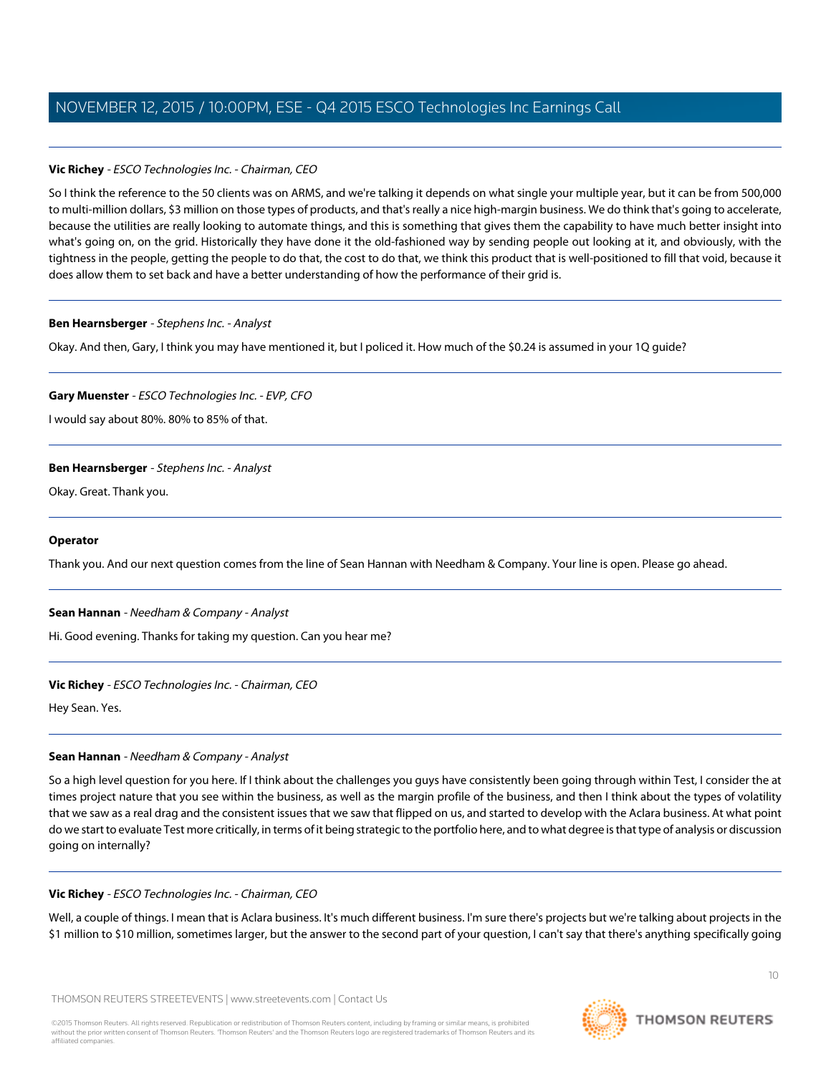## **Vic Richey** - ESCO Technologies Inc. - Chairman, CEO

So I think the reference to the 50 clients was on ARMS, and we're talking it depends on what single your multiple year, but it can be from 500,000 to multi-million dollars, \$3 million on those types of products, and that's really a nice high-margin business. We do think that's going to accelerate, because the utilities are really looking to automate things, and this is something that gives them the capability to have much better insight into what's going on, on the grid. Historically they have done it the old-fashioned way by sending people out looking at it, and obviously, with the tightness in the people, getting the people to do that, the cost to do that, we think this product that is well-positioned to fill that void, because it does allow them to set back and have a better understanding of how the performance of their grid is.

#### **Ben Hearnsberger** - Stephens Inc. - Analyst

Okay. And then, Gary, I think you may have mentioned it, but I policed it. How much of the \$0.24 is assumed in your 1Q guide?

## **Gary Muenster** - ESCO Technologies Inc. - EVP, CFO

I would say about 80%. 80% to 85% of that.

## **Ben Hearnsberger** - Stephens Inc. - Analyst

Okay. Great. Thank you.

#### **Operator**

<span id="page-9-0"></span>Thank you. And our next question comes from the line of Sean Hannan with Needham & Company. Your line is open. Please go ahead.

#### **Sean Hannan** - Needham & Company - Analyst

Hi. Good evening. Thanks for taking my question. Can you hear me?

#### **Vic Richey** - ESCO Technologies Inc. - Chairman, CEO

Hey Sean. Yes.

# **Sean Hannan** - Needham & Company - Analyst

So a high level question for you here. If I think about the challenges you guys have consistently been going through within Test, I consider the at times project nature that you see within the business, as well as the margin profile of the business, and then I think about the types of volatility that we saw as a real drag and the consistent issues that we saw that flipped on us, and started to develop with the Aclara business. At what point do we start to evaluate Test more critically, in terms of it being strategic to the portfolio here, and to what degree is that type of analysis or discussion going on internally?

#### **Vic Richey** - ESCO Technologies Inc. - Chairman, CEO

Well, a couple of things. I mean that is Aclara business. It's much different business. I'm sure there's projects but we're talking about projects in the \$1 million to \$10 million, sometimes larger, but the answer to the second part of your question, I can't say that there's anything specifically going

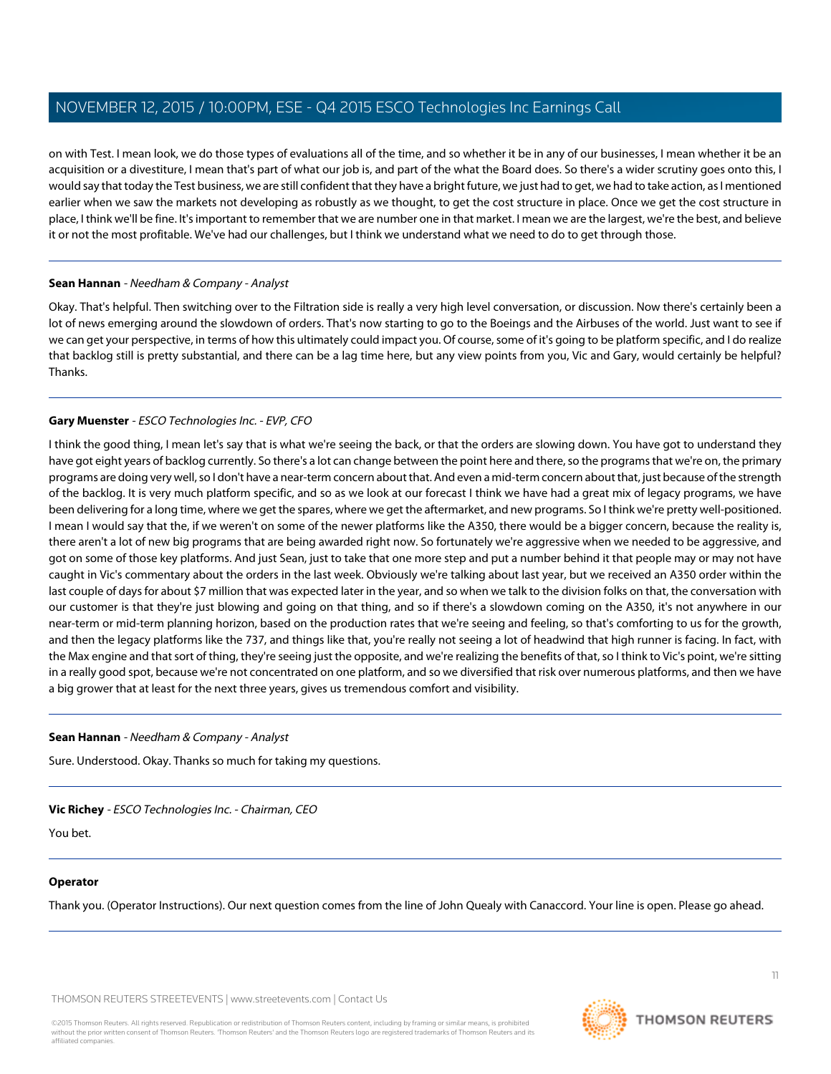on with Test. I mean look, we do those types of evaluations all of the time, and so whether it be in any of our businesses, I mean whether it be an acquisition or a divestiture, I mean that's part of what our job is, and part of the what the Board does. So there's a wider scrutiny goes onto this, I would say that today the Test business, we are still confident that they have a bright future, we just had to get, we had to take action, as I mentioned earlier when we saw the markets not developing as robustly as we thought, to get the cost structure in place. Once we get the cost structure in place, I think we'll be fine. It's important to remember that we are number one in that market. I mean we are the largest, we're the best, and believe it or not the most profitable. We've had our challenges, but I think we understand what we need to do to get through those.

#### **Sean Hannan** - Needham & Company - Analyst

Okay. That's helpful. Then switching over to the Filtration side is really a very high level conversation, or discussion. Now there's certainly been a lot of news emerging around the slowdown of orders. That's now starting to go to the Boeings and the Airbuses of the world. Just want to see if we can get your perspective, in terms of how this ultimately could impact you. Of course, some of it's going to be platform specific, and I do realize that backlog still is pretty substantial, and there can be a lag time here, but any view points from you, Vic and Gary, would certainly be helpful? Thanks.

## **Gary Muenster** - ESCO Technologies Inc. - EVP, CFO

I think the good thing, I mean let's say that is what we're seeing the back, or that the orders are slowing down. You have got to understand they have got eight years of backlog currently. So there's a lot can change between the point here and there, so the programs that we're on, the primary programs are doing very well, so I don't have a near-term concern about that. And even a mid-term concern about that, just because of the strength of the backlog. It is very much platform specific, and so as we look at our forecast I think we have had a great mix of legacy programs, we have been delivering for a long time, where we get the spares, where we get the aftermarket, and new programs. So I think we're pretty well-positioned. I mean I would say that the, if we weren't on some of the newer platforms like the A350, there would be a bigger concern, because the reality is, there aren't a lot of new big programs that are being awarded right now. So fortunately we're aggressive when we needed to be aggressive, and got on some of those key platforms. And just Sean, just to take that one more step and put a number behind it that people may or may not have caught in Vic's commentary about the orders in the last week. Obviously we're talking about last year, but we received an A350 order within the last couple of days for about \$7 million that was expected later in the year, and so when we talk to the division folks on that, the conversation with our customer is that they're just blowing and going on that thing, and so if there's a slowdown coming on the A350, it's not anywhere in our near-term or mid-term planning horizon, based on the production rates that we're seeing and feeling, so that's comforting to us for the growth, and then the legacy platforms like the 737, and things like that, you're really not seeing a lot of headwind that high runner is facing. In fact, with the Max engine and that sort of thing, they're seeing just the opposite, and we're realizing the benefits of that, so I think to Vic's point, we're sitting in a really good spot, because we're not concentrated on one platform, and so we diversified that risk over numerous platforms, and then we have a big grower that at least for the next three years, gives us tremendous comfort and visibility.

#### **Sean Hannan** - Needham & Company - Analyst

Sure. Understood. Okay. Thanks so much for taking my questions.

#### **Vic Richey** - ESCO Technologies Inc. - Chairman, CEO

You bet.

#### **Operator**

Thank you. (Operator Instructions). Our next question comes from the line of John Quealy with Canaccord. Your line is open. Please go ahead.

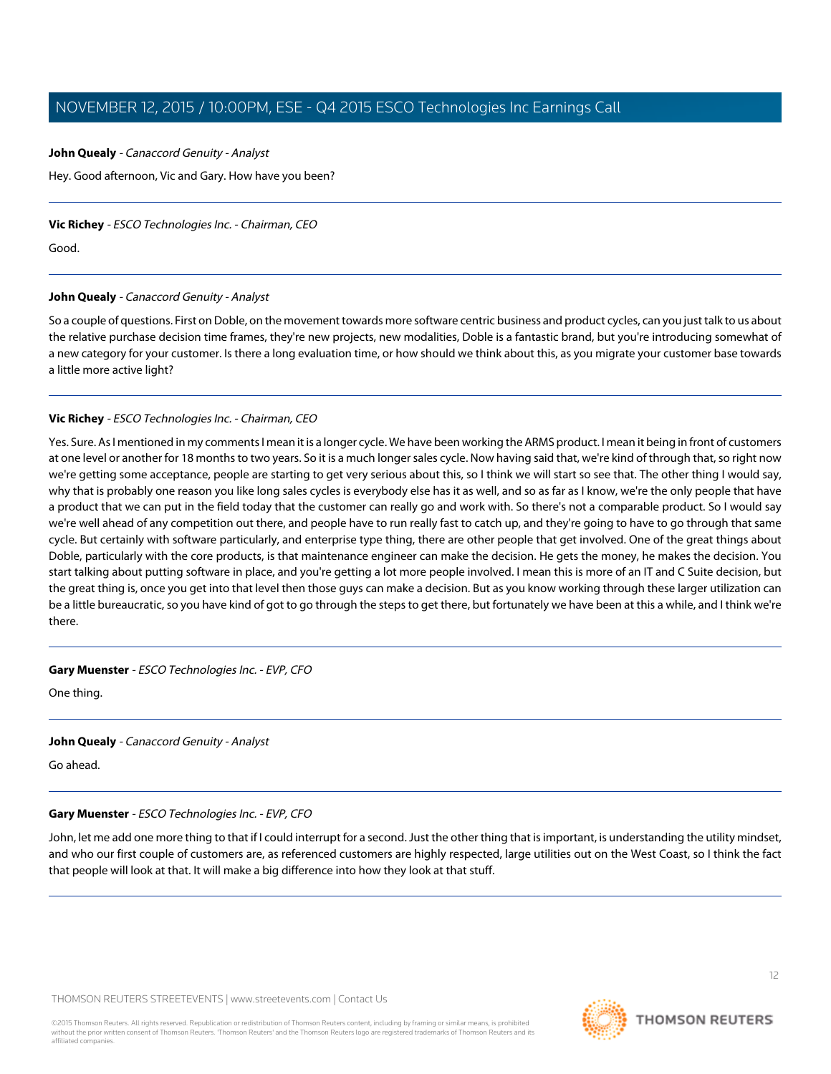#### <span id="page-11-0"></span>**John Quealy** - Canaccord Genuity - Analyst

Hey. Good afternoon, Vic and Gary. How have you been?

#### **Vic Richey** - ESCO Technologies Inc. - Chairman, CEO

Good.

#### **John Quealy** - Canaccord Genuity - Analyst

So a couple of questions. First on Doble, on the movement towards more software centric business and product cycles, can you just talk to us about the relative purchase decision time frames, they're new projects, new modalities, Doble is a fantastic brand, but you're introducing somewhat of a new category for your customer. Is there a long evaluation time, or how should we think about this, as you migrate your customer base towards a little more active light?

## **Vic Richey** - ESCO Technologies Inc. - Chairman, CEO

Yes. Sure. As I mentioned in my comments I mean it is a longer cycle. We have been working the ARMS product. I mean it being in front of customers at one level or another for 18 months to two years. So it is a much longer sales cycle. Now having said that, we're kind of through that, so right now we're getting some acceptance, people are starting to get very serious about this, so I think we will start so see that. The other thing I would say, why that is probably one reason you like long sales cycles is everybody else has it as well, and so as far as I know, we're the only people that have a product that we can put in the field today that the customer can really go and work with. So there's not a comparable product. So I would say we're well ahead of any competition out there, and people have to run really fast to catch up, and they're going to have to go through that same cycle. But certainly with software particularly, and enterprise type thing, there are other people that get involved. One of the great things about Doble, particularly with the core products, is that maintenance engineer can make the decision. He gets the money, he makes the decision. You start talking about putting software in place, and you're getting a lot more people involved. I mean this is more of an IT and C Suite decision, but the great thing is, once you get into that level then those guys can make a decision. But as you know working through these larger utilization can be a little bureaucratic, so you have kind of got to go through the steps to get there, but fortunately we have been at this a while, and I think we're there.

#### **Gary Muenster** - ESCO Technologies Inc. - EVP, CFO

One thing.

#### **John Quealy** - Canaccord Genuity - Analyst

Go ahead.

#### **Gary Muenster** - ESCO Technologies Inc. - EVP, CFO

John, let me add one more thing to that if I could interrupt for a second. Just the other thing that is important, is understanding the utility mindset, and who our first couple of customers are, as referenced customers are highly respected, large utilities out on the West Coast, so I think the fact that people will look at that. It will make a big difference into how they look at that stuff.

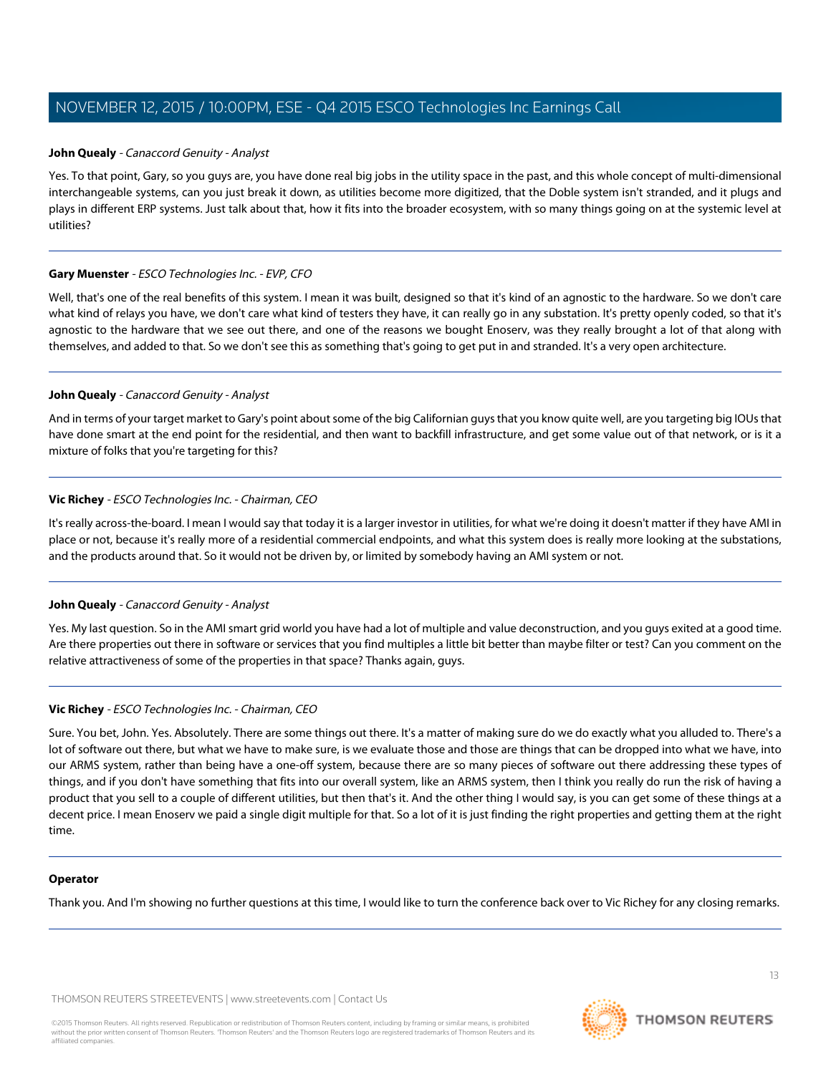#### **John Quealy** - Canaccord Genuity - Analyst

Yes. To that point, Gary, so you guys are, you have done real big jobs in the utility space in the past, and this whole concept of multi-dimensional interchangeable systems, can you just break it down, as utilities become more digitized, that the Doble system isn't stranded, and it plugs and plays in different ERP systems. Just talk about that, how it fits into the broader ecosystem, with so many things going on at the systemic level at utilities?

#### **Gary Muenster** - ESCO Technologies Inc. - EVP, CFO

Well, that's one of the real benefits of this system. I mean it was built, designed so that it's kind of an agnostic to the hardware. So we don't care what kind of relays you have, we don't care what kind of testers they have, it can really go in any substation. It's pretty openly coded, so that it's agnostic to the hardware that we see out there, and one of the reasons we bought Enoserv, was they really brought a lot of that along with themselves, and added to that. So we don't see this as something that's going to get put in and stranded. It's a very open architecture.

#### **John Quealy** - Canaccord Genuity - Analyst

And in terms of your target market to Gary's point about some of the big Californian guys that you know quite well, are you targeting big IOUs that have done smart at the end point for the residential, and then want to backfill infrastructure, and get some value out of that network, or is it a mixture of folks that you're targeting for this?

#### **Vic Richey** - ESCO Technologies Inc. - Chairman, CEO

It's really across-the-board. I mean I would say that today it is a larger investor in utilities, for what we're doing it doesn't matter if they have AMI in place or not, because it's really more of a residential commercial endpoints, and what this system does is really more looking at the substations, and the products around that. So it would not be driven by, or limited by somebody having an AMI system or not.

#### **John Quealy** - Canaccord Genuity - Analyst

Yes. My last question. So in the AMI smart grid world you have had a lot of multiple and value deconstruction, and you guys exited at a good time. Are there properties out there in software or services that you find multiples a little bit better than maybe filter or test? Can you comment on the relative attractiveness of some of the properties in that space? Thanks again, guys.

#### **Vic Richey** - ESCO Technologies Inc. - Chairman, CEO

Sure. You bet, John. Yes. Absolutely. There are some things out there. It's a matter of making sure do we do exactly what you alluded to. There's a lot of software out there, but what we have to make sure, is we evaluate those and those are things that can be dropped into what we have, into our ARMS system, rather than being have a one-off system, because there are so many pieces of software out there addressing these types of things, and if you don't have something that fits into our overall system, like an ARMS system, then I think you really do run the risk of having a product that you sell to a couple of different utilities, but then that's it. And the other thing I would say, is you can get some of these things at a decent price. I mean Enoserv we paid a single digit multiple for that. So a lot of it is just finding the right properties and getting them at the right time.

#### **Operator**

Thank you. And I'm showing no further questions at this time, I would like to turn the conference back over to Vic Richey for any closing remarks.